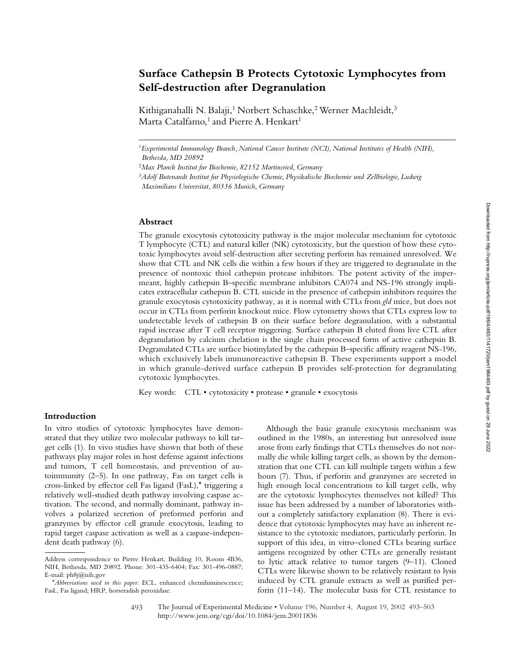# **Surface Cathepsin B Protects Cytotoxic Lymphocytes from Self-destruction after Degranulation**

Kithiganahalli N. Balaji,<sup>1</sup> Norbert Schaschke,<sup>2</sup> Werner Machleidt,<sup>3</sup> Marta Catalfamo,<sup>1</sup> and Pierre A. Henkart<sup>1</sup>

#### **Abstract**

The granule exocytosis cytotoxicity pathway is the major molecular mechanism for cytotoxic T lymphocyte (CTL) and natural killer (NK) cytotoxicity, but the question of how these cytotoxic lymphocytes avoid self-destruction after secreting perforin has remained unresolved. We show that CTL and NK cells die within a few hours if they are triggered to degranulate in the presence of nontoxic thiol cathepsin protease inhibitors. The potent activity of the impermeant, highly cathepsin B–specific membrane inhibitors CA074 and NS-196 strongly implicates extracellular cathepsin B. CTL suicide in the presence of cathepsin inhibitors requires the granule exocytosis cytotoxicity pathway, as it is normal with CTLs from *gld* mice, but does not occur in CTLs from perforin knockout mice. Flow cytometry shows that CTLs express low to undetectable levels of cathepsin B on their surface before degranulation, with a substantial rapid increase after T cell receptor triggering. Surface cathepsin B eluted from live CTL after degranulation by calcium chelation is the single chain processed form of active cathepsin B. Degranulated CTLs are surface biotinylated by the cathepsin B–specific affinity reagent NS-196, which exclusively labels immunoreactive cathepsin B. These experiments support a model in which granule-derived surface cathepsin B provides self-protection for degranulating cytotoxic lymphocytes.

Key words: CTL • cytotoxicity • protease • granule • exocytosis

## **Introduction**

In vitro studies of cytotoxic lymphocytes have demonstrated that they utilize two molecular pathways to kill target cells (1). In vivo studies have shown that both of these pathways play major roles in host defense against infections and tumors, T cell homeostasis, and prevention of autoimmunity (2–5). In one pathway, Fas on target cells is cross-linked by effector cell Fas ligand (FasL),\* triggering a relatively well-studied death pathway involving caspase activation. The second, and normally dominant, pathway involves a polarized secretion of preformed perforin and granzymes by effector cell granule exocytosis, leading to rapid target caspase activation as well as a caspase-independent death pathway (6).

Although the basic granule exocytosis mechanism was outlined in the 1980s, an interesting but unresolved issue arose from early findings that CTLs themselves do not normally die while killing target cells, as shown by the demonstration that one CTL can kill multiple targets within a few hours (7). Thus, if perforin and granzymes are secreted in high enough local concentrations to kill target cells, why are the cytotoxic lymphocytes themselves not killed? This issue has been addressed by a number of laboratories without a completely satisfactory explanation (8). There is evidence that cytotoxic lymphocytes may have an inherent resistance to the cytotoxic mediators, particularly perforin. In support of this idea, in vitro–cloned CTLs bearing surface antigens recognized by other CTLs are generally resistant to lytic attack relative to tumor targets (9–11). Cloned CTLs were likewise shown to be relatively resistant to lysis induced by CTL granule extracts as well as purified perforin (11–14). The molecular basis for CTL resistance to

<sup>1</sup>*Experimental Immunology Branch, National Cancer Institute (NCI), National Institutes of Health (NIH), Bethesda, MD 20892*

<sup>2</sup>*Max Planck Institut fur Biochemie, 82152 Martinsried, Germany*

<sup>3</sup>*Adolf Butenandt Institut fur Physiologische Chemie, Physikalische Biochemie und Zellbiologie, Ludwig* 

*Maximilians Universitat, 80336 Munich, Germany*

Address correspondence to Pierre Henkart, Building 10, Room 4B36, NIH, Bethesda, MD 20892. Phone: 301-435-6404; Fax: 301-496-0887; E-mail: ph8j@nih.gov

<sup>\*</sup>*Abbreviations used in this paper:* ECL, enhanced chemiluminescence; FasL, Fas ligand; HRP, horseradish peroxidase.

The Journal of Experimental Medicine • Volume 196, Number 4, August 19, 2002 493–503 http://www.jem.org/cgi/doi/10.1084/jem.20011836 493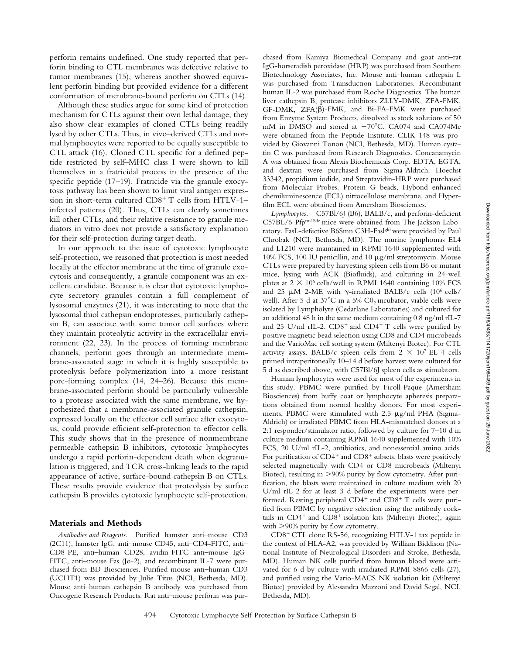perforin remains undefined. One study reported that perforin binding to CTL membranes was defective relative to tumor membranes (15), whereas another showed equivalent perforin binding but provided evidence for a different conformation of membrane-bound perforin on CTLs (14).

Although these studies argue for some kind of protection mechanism for CTLs against their own lethal damage, they also show clear examples of cloned CTLs being readily lysed by other CTLs. Thus, in vivo–derived CTLs and normal lymphocytes were reported to be equally susceptible to CTL attack (16). Cloned CTL specific for a defined peptide restricted by self–MHC class I were shown to kill themselves in a fratricidal process in the presence of the specific peptide (17–19). Fratricide via the granule exocytosis pathway has been shown to limit viral antigen expression in short-term cultured CD8<sup>+</sup> T cells from HTLV-1infected patients (20). Thus, CTLs can clearly sometimes kill other CTLs, and their relative resistance to granule mediators in vitro does not provide a satisfactory explanation for their self-protection during target death.

In our approach to the issue of cytotoxic lymphocyte self-protection, we reasoned that protection is most needed locally at the effector membrane at the time of granule exocytosis and consequently, a granule component was an excellent candidate. Because it is clear that cytotoxic lymphocyte secretory granules contain a full complement of lysosomal enzymes (21), it was interesting to note that the lysosomal thiol cathepsin endoproteases, particularly cathepsin B, can associate with some tumor cell surfaces where they maintain proteolytic activity in the extracellular environment (22, 23). In the process of forming membrane channels, perforin goes through an intermediate membrane-associated stage in which it is highly susceptible to proteolysis before polymerization into a more resistant pore-forming complex (14, 24–26). Because this membrane-associated perforin should be particularly vulnerable to a protease associated with the same membrane, we hypothesized that a membrane-associated granule cathepsin, expressed locally on the effector cell surface after exocytosis, could provide efficient self-protection to effector cells. This study shows that in the presence of nonmembrane permeable cathepsin B inhibitors, cytotoxic lymphocytes undergo a rapid perforin-dependent death when degranulation is triggered, and TCR cross-linking leads to the rapid appearance of active, surface-bound cathepsin B on CTLs. These results provide evidence that proteolysis by surface cathepsin B provides cytotoxic lymphocyte self-protection.

#### **Materials and Methods**

*Antibodies and Reagents.* Purified hamster anti–mouse CD3 (2C11), hamster IgG, anti–mouse CD45, anti–CD4-FITC, anti– CD8-PE, anti–human CD28, avidin-FITC anti–mouse IgG-FITC, anti–mouse Fas (Jo-2), and recombinant IL-7 were purchased from BD Biosciences. Purified mouse anti–human CD3 (UCHT1) was provided by Julie Titus (NCI, Bethesda, MD). Mouse anti–human cathepsin B antibody was purchased from Oncogene Research Products. Rat anti–mouse perforin was pur-

chased from Kamiya Biomedical Company and goat anti–rat IgG-horseradish peroxidase (HRP) was purchased from Southern Biotechnology Associates, Inc. Mouse anti–human cathepsin L was purchased from Transduction Laboratories. Recombinant human IL-2 was purchased from Roche Diagnostics. The human liver cathepsin B, protease inhibitors ZLLY-DMK, ZFA-FMK,  $GF-DMK, ZFA(\beta)-FMK, and Bi-FA-FMK were purchased$ from Enzyme System Products, dissolved as stock solutions of 50 mM in DMSO and stored at  $-70^{\circ}$ C. CA074 and CA074Me were obtained from the Peptide Institute. CLIK 148 was provided by Giovanni Tonon (NCI, Bethesda, MD). Human cystatin C was purchased from Research Diagnostics. Concanamycin A was obtained from Alexis Biochemicals Corp. EDTA, EGTA, and dextran were purchased from Sigma-Aldrich. Hoechst 33342, propidium iodide, and Streptavidin-HRP were purchased from Molecular Probes. Protein G beads, Hybond enhanced chemiluminescence (ECL) nitrocellulose membrane, and Hyperfilm ECL were obtained from Amersham Biosciences.

*Lymphocytes.* C57Bl/6J (B6), BALB/c, and perforin-deficient C57BL/6-Pfptm1Sdz mice were obtained from The Jackson Laboratory. FasL-defective B6Smn.C3H-Fasl<sup>gld</sup> were provided by Paul Chrobak (NCI, Bethesda, MD). The murine lymphomas EL4 and L1210 were maintained in RPMI 1640 supplemented with 10% FCS, 100 IU penicillin, and 10  $\mu$ g/ml streptomycin. Mouse CTLs were prepared by harvesting spleen cells from B6 or mutant mice, lysing with ACK (Biofluids), and culturing in 24-well plates at  $2 \times 10^6$  cells/well in RPMI 1640 containing 10% FCS and 25  $\mu$ M 2-ME with  $\gamma$ -irradiated BALB/c cells (10<sup>6</sup> cells/ well). After 5 d at  $37^{\circ}$ C in a 5% CO<sub>2</sub> incubator, viable cells were isolated by Lympholyte (Cedarlane Laboratories) and cultured for an additional 48 h in the same medium containing 0.8 ng/ml rIL-7 and 25 U/ml rIL-2. CD8<sup>+</sup> and CD4<sup>+</sup> T cells were purified by positive magnetic bead selection using CD8 and CD4 microbeads and the VarioMac cell sorting system (Miltenyi Biotec). For CTL activity assays, BALB/c spleen cells from  $2 \times 10^7$  EL-4 cells primed intraperitoneally 10–14 d before harvest were cultured for 5 d as described above, with C57Bl/6J spleen cells as stimulators.

Human lymphocytes were used for most of the experiments in this study. PBMC were purified by Ficoll-Paque (Amersham Biosciences) from buffy coat or lymphocyte apheresis preparations obtained from normal healthy donors. For most experiments, PBMC were stimulated with 2.5  $\mu$ g/ml PHA (Sigma-Aldrich) or irradiated PBMC from HLA-mismatched donors at a 2:1 responder/stimulator ratio, followed by culture for 7–10 d in culture medium containing RPMI 1640 supplemented with 10% FCS, 20 U/ml rIL-2, antibiotics, and nonessential amino acids. For purification of CD4<sup>+</sup> and CD8<sup>+</sup> subsets, blasts were positively selected magnetically with CD4 or CD8 microbeads (Miltenyi Biotec), resulting in >90% purity by flow cytometry. After purification, the blasts were maintained in culture medium with 20 U/ml rIL-2 for at least 3 d before the experiments were performed. Resting peripheral CD4<sup>+</sup> and CD8<sup>+</sup> T cells were purified from PBMC by negative selection using the antibody cocktails in CD4<sup>+</sup> and CD8<sup>+</sup> isolation kits (Miltenyi Biotec), again with  $>90\%$  purity by flow cytometry.

CD8<sup>+</sup> CTL clone RS-56, recognizing HTLV-1 tax peptide in the context of HLA-A2, was provided by William Biddison (National Institute of Neurological Disorders and Stroke, Bethesda, MD). Human NK cells purified from human blood were activated for 6 d by culture with irradiated RPMI 8866 cells (27), and purified using the Vario-MACS NK isolation kit (Miltenyi Biotec) provided by Alessandra Mazzoni and David Segal, NCI, Bethesda, MD).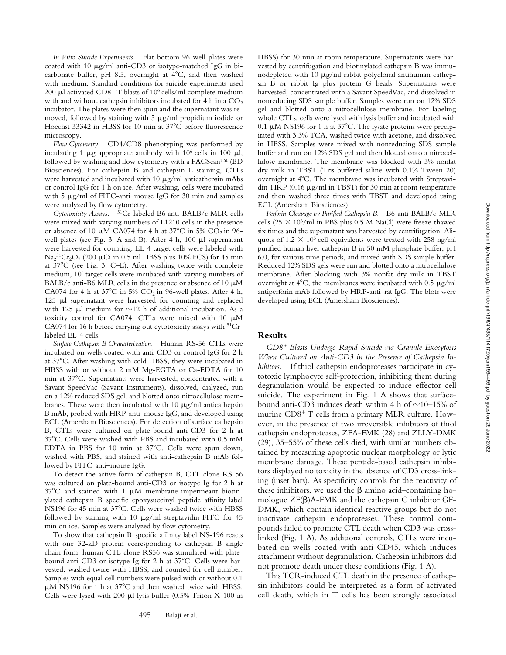*In Vitro Suicide Experiments.* Flat-bottom 96-well plates were coated with 10  $\mu$ g/ml anti-CD3 or isotype-matched IgG in bicarbonate buffer, pH 8.5, overnight at  $4^{\circ}C$ , and then washed with medium. Standard conditions for suicide experiments used 200  $\mu$ l activated CD8<sup>+</sup> T blasts of 10<sup>6</sup> cells/ml complete medium with and without cathepsin inhibitors incubated for 4 h in a  $CO<sub>2</sub>$ incubator. The plates were then spun and the supernatant was removed, followed by staining with  $5 \mu g/ml$  propidium iodide or Hoechst 33342 in HBSS for 10 min at 37°C before fluorescence microscopy.

*Flow Cytometry.* CD4/CD8 phenotyping was performed by incubating 1  $\mu$ g appropriate antibody with 10<sup>6</sup> cells in 100  $\mu$ l, followed by washing and flow cytometry with a FACScan™ (BD Biosciences). For cathepsin B and cathepsin L staining, CTLs were harvested and incubated with 10  $\mu$ g/ml anticathepsin mAbs or control IgG for 1 h on ice. After washing, cells were incubated with 5  $\mu$ g/ml of FITC-anti-mouse IgG for 30 min and samples were analyzed by flow cytometry.

*Cytotoxicity Assays.* 51Cr-labeled B6 anti-BALB/c MLR cells were mixed with varying numbers of L1210 cells in the presence or absence of 10  $\mu$ M CA074 for 4 h at 37°C in 5% CO<sub>2</sub> in 96well plates (see Fig. 3, A and B). After 4 h,  $100 \mu l$  supernatant were harvested for counting. EL-4 target cells were labeled with  $\text{Na}_2^{\,51}\text{Cr}_2\text{O}_7$  (200 µCi in 0.5 ml HBSS plus 10% FCS) for 45 min at  $37^{\circ}$ C (see Fig. 3, C–E). After washing twice with complete medium, 10<sup>4</sup> target cells were incubated with varying numbers of BALB/c anti-B6 MLR cells in the presence or absence of 10  $\mu$ M CA074 for 4 h at  $37^{\circ}$ C in 5% CO<sub>2</sub> in 96-well plates. After 4 h, 125  $\mu$ l supernatant were harvested for counting and replaced with 125  $\mu$ l medium for  $\sim$ 12 h of additional incubation. As a toxicity control for CA074, CTLs were mixed with 10  $\mu$ M CA074 for 16 h before carrying out cytotoxicity assays with 51Crlabeled EL-4 cells.

*Surface Cathepsin B Characterization.* Human RS-56 CTLs were incubated on wells coated with anti-CD3 or control IgG for 2 h at 37C. After washing with cold HBSS, they were incubated in HBSS with or without 2 mM Mg-EGTA or Ca-EDTA for 10 min at 37°C. Supernatants were harvested, concentrated with a Savant SpeedVac (Savant Instruments), dissolved, dialyzed, run on a 12% reduced SDS gel, and blotted onto nitrocellulose membranes. These were then incubated with 10  $\mu$ g/ml anticathepsin B mAb, probed with HRP-anti–mouse IgG, and developed using ECL (Amersham Biosciences). For detection of surface cathepsin B, CTLs were cultured on plate-bound anti-CD3 for 2 h at 37°C. Cells were washed with PBS and incubated with 0.5 mM EDTA in PBS for 10 min at  $37^{\circ}$ C. Cells were spun down, washed with PBS, and stained with anti-cathepsin B mAb followed by FITC-anti–mouse IgG.

To detect the active form of cathepsin B, CTL clone RS-56 was cultured on plate-bound anti-CD3 or isotype Ig for 2 h at  $37^{\circ}$ C and stained with 1  $\mu$ M membrane-impermeant biotinylated cathepsin B–specific epoxysuccinyl peptide affinity label NS196 for 45 min at 37°C. Cells were washed twice with HBSS followed by staining with 10  $\mu$ g/ml streptavidin-FITC for 45 min on ice. Samples were analyzed by flow cytometry.

To show that cathepsin B–specific affinity label NS-196 reacts with one 32-kD protein corresponding to cathepsin B single chain form, human CTL clone RS56 was stimulated with platebound anti-CD3 or isotype Ig for 2 h at  $37^{\circ}$ C. Cells were harvested, washed twice with HBSS, and counted for cell number. Samples with equal cell numbers were pulsed with or without 0.1  $\mu$ M NS196 for 1 h at 37°C and then washed twice with HBSS. Cells were lysed with 200  $\mu$ l lysis buffer (0.5% Triton X-100 in

HBSS) for 30 min at room temperature. Supernatants were harvested by centrifugation and biotinylated cathepsin B was immunodepleted with 10  $\mu$ g/ml rabbit polyclonal antihuman cathepsin B or rabbit Ig plus protein G beads. Supernatants were harvested, concentrated with a Savant SpeedVac, and dissolved in nonreducing SDS sample buffer. Samples were run on 12% SDS gel and blotted onto a nitrocellulose membrane. For labeling whole CTLs, cells were lysed with lysis buffer and incubated with 0.1  $\mu$ M NS196 for 1 h at 37°C. The lysate proteins were precipitated with 3.3% TCA, washed twice with acetone, and dissolved in HBSS. Samples were mixed with nonreducing SDS sample buffer and run on 12% SDS gel and then blotted onto a nitrocellulose membrane. The membrane was blocked with 3% nonfat dry milk in TBST (Tris-buffered saline with 0.1% Tween 20) overnight at 4°C. The membrane was incubated with Streptavidin-HRP (0.16  $\mu$ g/ml in TBST) for 30 min at room temperature and then washed three times with TBST and developed using ECL (Amersham Biosciences).

*Perforin Cleavage by Purified Cathepsin B.* B6 anti-BALB/c MLR cells (25  $\times$  10<sup>6</sup>/ml in PBS plus 0.5 M NaCl) were freeze-thawed six times and the supernatant was harvested by centrifugation. Aliquots of 1.2  $\times$  10<sup>5</sup> cell equivalents were treated with 258 ng/ml purified human liver cathepsin B in 50 mM phosphate buffer, pH 6.0, for various time periods, and mixed with SDS sample buffer. Reduced 12% SDS gels were run and blotted onto a nitrocellulose membrane. After blocking with 3% nonfat dry milk in TBST overnight at  $4^{\circ}$ C, the membranes were incubated with 0.5  $\mu$ g/ml antiperforin mAb followed by HRP-anti–rat IgG. The blots were developed using ECL (Amersham Biosciences).

## **Results**

*CD8*- *Blasts Undergo Rapid Suicide via Granule Exocytosis When Cultured on Anti-CD3 in the Presence of Cathepsin Inhibitors.* If thiol cathepsin endoproteases participate in cytotoxic lymphocyte self-protection, inhibiting them during degranulation would be expected to induce effector cell suicide. The experiment in Fig. 1 A shows that surfacebound anti-CD3 induces death within 4 h of  $\sim$ 10–15% of murine CD8<sup>+</sup> T cells from a primary MLR culture. However, in the presence of two irreversible inhibitors of thiol cathepsin endoproteases, ZFA-FMK (28) and ZLLY-DMK (29), 35–55% of these cells died, with similar numbers obtained by measuring apoptotic nuclear morphology or lytic membrane damage. These peptide-based cathepsin inhibitors displayed no toxicity in the absence of CD3 cross-linking (inset bars). As specificity controls for the reactivity of these inhibitors, we used the  $\beta$  amino acid–containing homologue  $ZF(\beta)A-FMK$  and the cathepsin C inhibitor GF-DMK, which contain identical reactive groups but do not inactivate cathepsin endoproteases. These control compounds failed to promote CTL death when CD3 was crosslinked (Fig. 1 A). As additional controls, CTLs were incubated on wells coated with anti-CD45, which induces attachment without degranulation. Cathepsin inhibitors did not promote death under these conditions (Fig. 1 A).

This TCR-induced CTL death in the presence of cathepsin inhibitors could be interpreted as a form of activated cell death, which in T cells has been strongly associated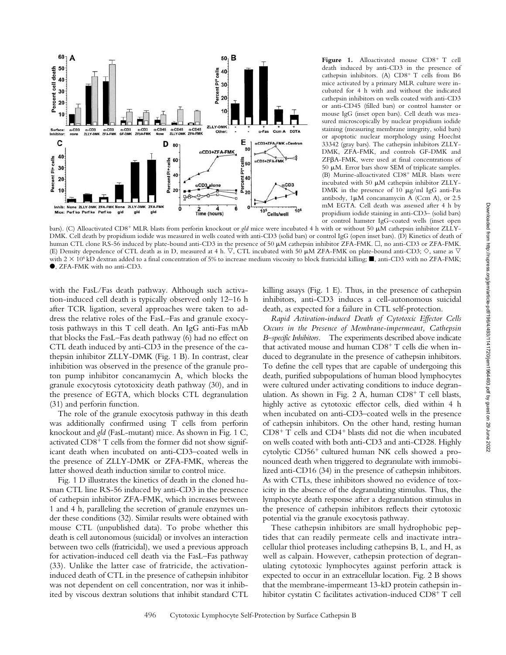

Figure 1. Alloactivated mouse CD8<sup>+</sup> T cell death induced by anti-CD3 in the presence of cathepsin inhibitors. (A) CD8<sup>+</sup> T cells from B6 mice activated by a primary MLR culture were incubated for 4 h with and without the indicated cathepsin inhibitors on wells coated with anti-CD3 or anti-CD45 (filled bars) or control hamster or mouse IgG (inset open bars). Cell death was measured microscopically by nuclear propidium iodide staining (measuring membrane integrity, solid bars) or apoptotic nuclear morphology using Hoechst 33342 (gray bars). The cathepsin inhibitors ZLLY-DMK, ZFA-FMK, and controls GF-DMK and ZFA-FMK, were used at final concentrations of 50  $\mu$ M. Error bars show SEM of triplicate samples. (B) Murine-alloactivated CD8<sup>+</sup> MLR blasts were incubated with 50  $\mu$ M cathepsin inhibitor ZLLY-DMK in the presence of  $10 \mu g/ml$  IgG anti-Fas antibody,  $1\mu$ M concanamycin A (Ccm A), or 2.5 mM EGTA. Cell death was assessed after 4 h by propidium iodide staining in anti-CD3– (solid bars) or control hamster IgG–coated wells (inset open

bars). (C) Alloactivated CD8<sup>+</sup> MLR blasts from perforin knockout or *gld* mice were incubated 4 h with or without 50  $\mu$ M cathepsin inhibitor ZLLY-DMK. Cell death by propidium iodide was measured in wells coated with anti-CD3 (solid bars) or control IgG (open inset bars). (D) Kinetics of death of human CTL clone RS-56 induced by plate-bound anti-CD3 in the presence of 50  $\mu$ M cathepsin inhibitor ZFA-FMK.  $\Box$ , no anti-CD3 or ZFA-FMK. (E) Density dependence of CTL death as in D, measured at 4 h.  $\nabla$ , CTL incubated with 50  $\mu$ M ZFA-FMK on plate-bound anti-CD3;  $\diamond$ , same as  $\nabla$ with  $2 \times 10^6$  kD dextran added to a final concentration of 5% to increase medium viscosity to block fratricidal killing; , anti-CD3 with no ZFA-FMK; , ZFA-FMK with no anti-CD3.

with the FasL/Fas death pathway. Although such activation-induced cell death is typically observed only 12–16 h after TCR ligation, several approaches were taken to address the relative roles of the FasL–Fas and granule exocytosis pathways in this T cell death. An IgG anti-Fas mAb that blocks the FasL–Fas death pathway (6) had no effect on CTL death induced by anti-CD3 in the presence of the cathepsin inhibitor ZLLY-DMK (Fig. 1 B). In contrast, clear inhibition was observed in the presence of the granule proton pump inhibitor concanamycin A, which blocks the granule exocytosis cytotoxicity death pathway (30), and in the presence of EGTA, which blocks CTL degranulation (31) and perforin function.

The role of the granule exocytosis pathway in this death was additionally confirmed using T cells from perforin knockout and *gld* (FasL-mutant) mice. As shown in Fig. 1 C, activated CD8<sup>+</sup> T cells from the former did not show significant death when incubated on anti-CD3–coated wells in the presence of ZLLY-DMK or ZFA-FMK, whereas the latter showed death induction similar to control mice.

Fig. 1 D illustrates the kinetics of death in the cloned human CTL line RS-56 induced by anti-CD3 in the presence of cathepsin inhibitor ZFA-FMK, which increases between 1 and 4 h, paralleling the secretion of granule enzymes under these conditions (32). Similar results were obtained with mouse CTL (unpublished data). To probe whether this death is cell autonomous (suicidal) or involves an interaction between two cells (fratricidal), we used a previous approach for activation-induced cell death via the FasL–Fas pathway (33). Unlike the latter case of fratricide, the activationinduced death of CTL in the presence of cathepsin inhibitor was not dependent on cell concentration, nor was it inhibited by viscous dextran solutions that inhibit standard CTL killing assays (Fig. 1 E). Thus, in the presence of cathepsin inhibitors, anti-CD3 induces a cell-autonomous suicidal death, as expected for a failure in CTL self-protection.

*Rapid Activation-induced Death of Cytotoxic Effector Cells Occurs in the Presence of Membrane-impermeant, Cathepsin B–specific Inhibitors.* The experiments described above indicate that activated mouse and human CD8<sup>+</sup> T cells die when induced to degranulate in the presence of cathepsin inhibitors. To define the cell types that are capable of undergoing this death, purified subpopulations of human blood lymphocytes were cultured under activating conditions to induce degranulation. As shown in Fig. 2 A, human CD8<sup>+</sup> T cell blasts, highly active as cytotoxic effector cells, died within 4 h when incubated on anti-CD3–coated wells in the presence of cathepsin inhibitors. On the other hand, resting human CD8- T cells and CD4- blasts did not die when incubated on wells coated with both anti-CD3 and anti-CD28. Highly cytolytic CD56<sup>+</sup> cultured human NK cells showed a pronounced death when triggered to degranulate with immobilized anti-CD16 (34) in the presence of cathepsin inhibitors. As with CTLs, these inhibitors showed no evidence of toxicity in the absence of the degranulating stimulus. Thus, the lymphocyte death response after a degranulation stimulus in the presence of cathepsin inhibitors reflects their cytotoxic potential via the granule exocytosis pathway.

These cathepsin inhibitors are small hydrophobic peptides that can readily permeate cells and inactivate intracellular thiol proteases including cathepsins B, L, and H, as well as calpain. However, cathepsin protection of degranulating cytotoxic lymphocytes against perforin attack is expected to occur in an extracellular location. Fig. 2 B shows that the membrane-impermeant 13-kD protein cathepsin inhibitor cystatin C facilitates activation-induced CD8<sup>+</sup> T cell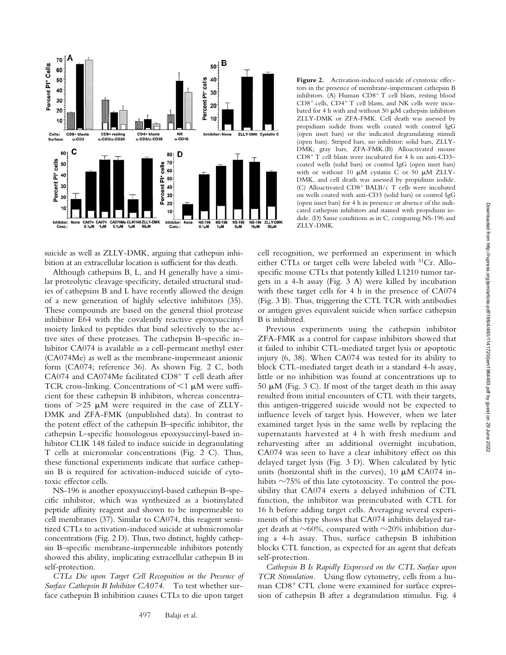

suicide as well as ZLLY-DMK, arguing that cathepsin inhibition at an extracellular location is sufficient for this death.

Although cathepsins B, L, and H generally have a similar proteolytic cleavage specificity, detailed structural studies of cathepsins B and L have recently allowed the design of a new generation of highly selective inhibitors (35). These compounds are based on the general thiol protease inhibitor E64 with the covalently reactive epoxysuccinyl moiety linked to peptides that bind selectively to the active sites of these proteases. The cathepsin B–specific inhibitor CA074 is available as a cell-permeant methyl ester (CA074Me) as well as the membrane-impermeant anionic form (CA074; reference 36). As shown Fig. 2 C, both CA074 and CA074Me facilitated CD8<sup>+</sup> T cell death after TCR cross-linking. Concentrations of  $\leq 1$   $\mu$ M were sufficient for these cathepsin B inhibitors, whereas concentrations of  $>25$   $\mu$ M were required in the case of ZLLY-DMK and ZFA-FMK (unpublished data). In contrast to the potent effect of the cathepsin B–specific inhibitor, the cathepsin L–specific homologous epoxysuccinyl-based inhibitor CLIK 148 failed to induce suicide in degranulating T cells at micromolar concentrations (Fig. 2 C). Thus, these functional experiments indicate that surface cathepsin B is required for activation-induced suicide of cytotoxic effector cells.

NS-196 is another epoxysuccinyl-based cathepsin B–specific inhibitor, which was synthesized as a biotinylated peptide affinity reagent and shown to be impermeable to cell membranes (37). Similar to CA074, this reagent sensitized CTLs to activation-induced suicide at submicromolar concentrations (Fig. 2 D). Thus, two distinct, highly cathepsin B–specific membrane-impermeable inhibitors potently showed this ability, implicating extracellular cathepsin B in self-protection.

*CTLs Die upon Target Cell Recognition in the Presence of Surface Cathepsin B Inhibitor CA074.* To test whether surface cathepsin B inhibition causes CTLs to die upon target

Figure 2. Activation-induced suicide of cytotoxic effectors in the presence of membrane-impermeant cathepsin B inhibitors. (A) Human CD8<sup>+</sup> T cell blasts, resting blood CD8<sup>+</sup> cells, CD4<sup>+</sup> T cell blasts, and NK cells were incubated for 4 h with and without 50  $\mu$ M cathepsin inhibitors ZLLY-DMK or ZFA-FMK. Cell death was assessed by propidium iodide from wells coated with control IgG (open inset bars) or the indicated degranulating stimuli (open bars). Striped bars, no inhibitor; solid bars, ZLLY-DMK; gray bars, ZFA-FMK.(B) Alloactivated mouse CD8- T cell blasts were incubated for 4 h on anti-CD3– coated wells (solid bars) or control IgG (open inset bars) with or without 10  $\mu$ M cystatin C or 50  $\mu$ M ZLLY-DMK, and cell death was assessed by propidium iodide. (C) Alloactivated CD8<sup>+</sup> BALB/c T cells were incubated on wells coated with anti-CD3 (solid bars) or control IgG (open inset bars) for 4 h in presence or absence of the indicated cathepsin inhibitors and stained with propidium iodide. (D) Same conditions as in C, comparing NS-196 and ZLLY-DMK.

cell recognition, we performed an experiment in which either CTLs or target cells were labeled with 51Cr. Allospecific mouse CTLs that potently killed L1210 tumor targets in a 4-h assay (Fig. 3 A) were killed by incubation with these target cells for 4 h in the presence of CA074 (Fig. 3 B). Thus, triggering the CTL TCR with antibodies or antigen gives equivalent suicide when surface cathepsin B is inhibited.

Previous experiments using the cathepsin inhibitor ZFA-FMK as a control for caspase inhibitors showed that it failed to inhibit CTL-mediated target lysis or apoptotic injury (6, 38). When CA074 was tested for its ability to block CTL-mediated target death in a standard 4-h assay, little or no inhibition was found at concentrations up to 50  $\mu$ M (Fig. 3 C). If most of the target death in this assay resulted from initial encounters of CTL with their targets, this antigen-triggered suicide would not be expected to influence levels of target lysis. However, when we later examined target lysis in the same wells by replacing the supernatants harvested at 4 h with fresh medium and reharvesting after an additional overnight incubation, CA074 was seen to have a clear inhibitory effect on this delayed target lysis (Fig. 3 D). When calculated by lytic units (horizontal shift in the curves), 10  $\mu$ M CA074 inhibits  $\sim$ 75% of this late cytotoxicity. To control the possibility that CA074 exerts a delayed inhibition of CTL function, the inhibitor was preincubated with CTL for 16 h before adding target cells. Averaging several experiments of this type shows that CA074 inhibits delayed target death at  $\sim$ 60%, compared with  $\sim$ 20% inhibition during a 4-h assay. Thus, surface cathepsin B inhibition blocks CTL function, as expected for an agent that defeats self-protection.

*Cathepsin B Is Rapidly Expressed on the CTL Surface upon TCR Stimulation.* Using flow cytometry, cells from a human CD8<sup>+</sup> CTL clone were examined for surface expression of cathepsin B after a degranulation stimulus. Fig. 4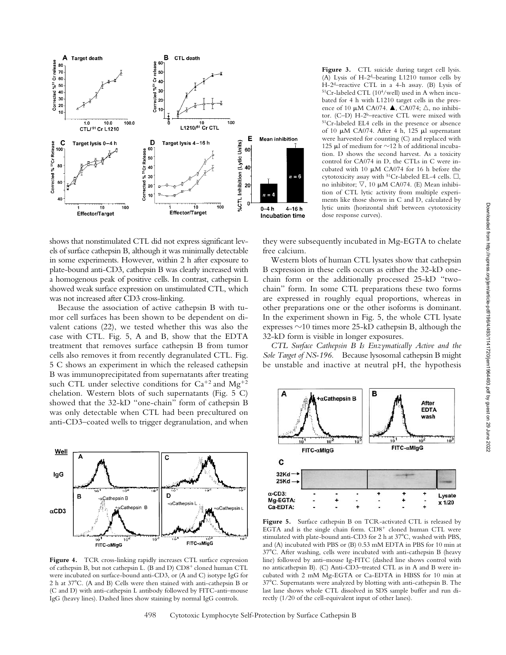

Figure 3. CTL suicide during target cell lysis. (A) Lysis of H-2<sup>d</sup>–bearing L1210 tumor cells by H-2d–reactive CTL in a 4-h assay. (B) Lysis of  $51Cr$ -labeled CTL (10<sup>4</sup>/well) used in A when incubated for 4 h with L1210 target cells in the presence of 10  $\mu$ M CA074.  $\blacktriangle$ , CA074;  $\triangle$ , no inhibitor. (C-D) H-2<sup>b</sup>-reactive CTL were mixed with 51Cr-labeled EL4 cells in the presence or absence of 10  $\mu$ M CA074. After 4 h, 125  $\mu$ l supernatant were harvested for counting (C) and replaced with 125  $\mu$ l of medium for  $\sim$ 12 h of additional incubation. D shows the second harvest. As a toxicity control for CA074 in D, the CTLs in C were incubated with 10  $\mu$ M CA074 for 16 h before the cytotoxicity assay with  ${}^{51}Cr$ -labeled EL-4 cells.  $\Box$ , no inhibitor;  $\nabla$ , 10  $\mu$ M CA074. (E) Mean inhibition of CTL lytic activity from multiple experiments like those shown in C and D, calculated by lytic units (horizontal shift between cytotoxicity dose response curves).

shows that nonstimulated CTL did not express significant levels of surface cathepsin B, although it was minimally detectable in some experiments. However, within 2 h after exposure to plate-bound anti-CD3, cathepsin B was clearly increased with a homogenous peak of positive cells. In contrast, cathepsin L showed weak surface expression on unstimulated CTL, which was not increased after CD3 cross-linking.

Because the association of active cathepsin B with tumor cell surfaces has been shown to be dependent on divalent cations (22), we tested whether this was also the case with CTL. Fig. 5, A and B, show that the EDTA treatment that removes surface cathepsin B from tumor cells also removes it from recently degranulated CTL. Fig. 5 C shows an experiment in which the released cathepsin B was immunoprecipitated from supernatants after treating such CTL under selective conditions for  $Ca^{+2}$  and  $Mg^{+2}$ chelation. Western blots of such supernatants (Fig. 5 C) showed that the 32-kD "one-chain" form of cathepsin B was only detectable when CTL had been precultured on anti-CD3–coated wells to trigger degranulation, and when



**Figure 4.** TCR cross-linking rapidly increases CTL surface expression of cathepsin B, but not cathepsin L. (B and D) CD8<sup>+</sup> cloned human CTL were incubated on surface-bound anti-CD3, or (A and C) isotype IgG for 2 h at 37C. (A and B) Cells were then stained with anti-cathepsin B or (C and D) with anti-cathepsin L antibody followed by FITC-anti–mouse IgG (heavy lines). Dashed lines show staining by normal IgG controls.

free calcium. Western blots of human CTL lysates show that cathepsin

they were subsequently incubated in Mg-EGTA to chelate

B expression in these cells occurs as either the 32-kD onechain form or the additionally processed 25-kD "twochain" form. In some CTL preparations these two forms are expressed in roughly equal proportions, whereas in other preparations one or the other isoforms is dominant. In the experiment shown in Fig. 5, the whole CTL lysate expresses  $\sim$ 10 times more 25-kD cathepsin B, although the 32-kD form is visible in longer exposures.

*CTL Surface Cathepsin B Is Enzymatically Active and the Sole Target of NS-196.* Because lysosomal cathepsin B might be unstable and inactive at neutral pH, the hypothesis



**Figure 5.** Surface cathepsin B on TCR-activated CTL is released by EGTA and is the single chain form. CD8<sup>+</sup> cloned human CTL were stimulated with plate-bound anti-CD3 for 2 h at 37°C, washed with PBS, and (A) incubated with PBS or (B) 0.53 mM EDTA in PBS for 10 min at 37C. After washing, cells were incubated with anti-cathepsin B (heavy line) followed by anti–mouse Ig-FITC (dashed line shows control with no anticathepsin B). (C) Anti-CD3–treated CTL as in A and B were incubated with 2 mM Mg-EGTA or Ca-EDTA in HBSS for 10 min at 37C. Supernatants were analyzed by blotting with anti-cathepsin B. The last lane shows whole CTL dissolved in SDS sample buffer and run directly (1/20 of the cell-equivalent input of other lanes).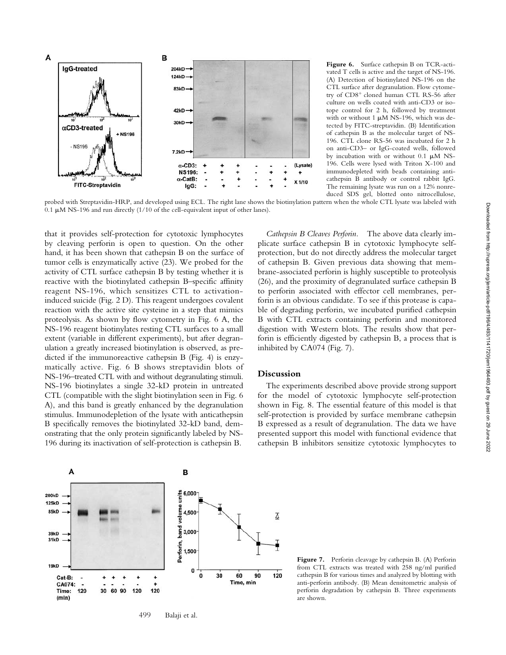

**Figure 6.** Surface cathepsin B on TCR-activated T cells is active and the target of NS-196. (A) Detection of biotinylated NS-196 on the CTL surface after degranulation. Flow cytometry of CD8<sup>+</sup> cloned human CTL RS-56 after culture on wells coated with anti-CD3 or isotope control for 2 h, followed by treatment with or without 1  $\mu$ M NS-196, which was detected by FITC-streptavidin. (B) Identification of cathepsin B as the molecular target of NS-196. CTL clone RS-56 was incubated for 2 h on anti-CD3– or IgG-coated wells, followed by incubation with or without  $0.1 \mu M$  NS-196. Cells were lysed with Triton X-100 and immunodepleted with beads containing anticathepsin B antibody or control rabbit IgG. The remaining lysate was run on a 12% nonreduced SDS gel, blotted onto nitrocellulose,

probed with Streptavidin-HRP, and developed using ECL. The right lane shows the biotinylation pattern when the whole CTL lysate was labeled with  $0.1 \mu M$  NS-196 and run directly (1/10 of the cell-equivalent input of other lanes).

that it provides self-protection for cytotoxic lymphocytes by cleaving perforin is open to question. On the other hand, it has been shown that cathepsin B on the surface of tumor cells is enzymatically active (23). We probed for the activity of CTL surface cathepsin B by testing whether it is reactive with the biotinylated cathepsin B–specific affinity reagent NS-196, which sensitizes CTL to activationinduced suicide (Fig. 2 D). This reagent undergoes covalent reaction with the active site cysteine in a step that mimics proteolysis. As shown by flow cytometry in Fig. 6 A, the NS-196 reagent biotinylates resting CTL surfaces to a small extent (variable in different experiments), but after degranulation a greatly increased biotinylation is observed, as predicted if the immunoreactive cathepsin B (Fig. 4) is enzymatically active. Fig. 6 B shows streptavidin blots of NS-196–treated CTL with and without degranulating stimuli. NS-196 biotinylates a single 32-kD protein in untreated CTL (compatible with the slight biotinylation seen in Fig. 6 A), and this band is greatly enhanced by the degranulation stimulus. Immunodepletion of the lysate with anticathepsin B specifically removes the biotinylated 32-kD band, demonstrating that the only protein significantly labeled by NS-196 during its inactivation of self-protection is cathepsin B.

*Cathepsin B Cleaves Perforin.* The above data clearly implicate surface cathepsin B in cytotoxic lymphocyte selfprotection, but do not directly address the molecular target of cathepsin B. Given previous data showing that membrane-associated perforin is highly susceptible to proteolysis (26), and the proximity of degranulated surface cathepsin B to perforin associated with effector cell membranes, perforin is an obvious candidate. To see if this protease is capable of degrading perforin, we incubated purified cathepsin B with CTL extracts containing perforin and monitored digestion with Western blots. The results show that perforin is efficiently digested by cathepsin B, a process that is inhibited by CA074 (Fig. 7).

# **Discussion**

The experiments described above provide strong support for the model of cytotoxic lymphocyte self-protection shown in Fig. 8. The essential feature of this model is that self-protection is provided by surface membrane cathepsin B expressed as a result of degranulation. The data we have presented support this model with functional evidence that cathepsin B inhibitors sensitize cytotoxic lymphocytes to



**Figure 7.** Perforin cleavage by cathepsin B. (A) Perforin from CTL extracts was treated with 258 ng/ml purified cathepsin B for various times and analyzed by blotting with anti-perforin antibody. (B) Mean densitometric analysis of perforin degradation by cathepsin B. Three experiments are shown.

499 Balaji et al.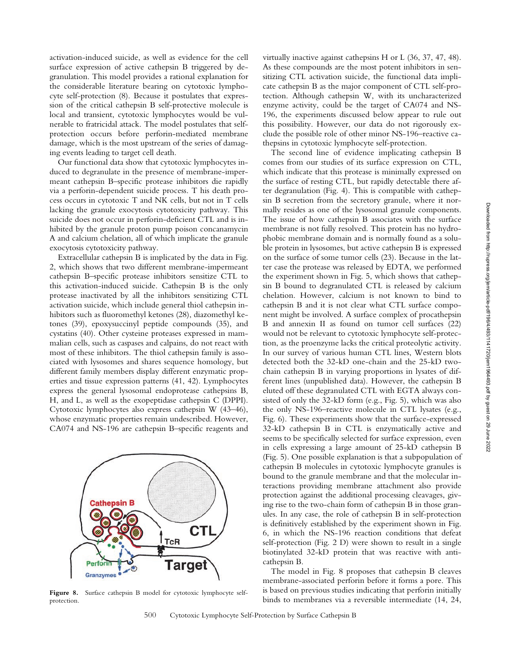activation-induced suicide, as well as evidence for the cell surface expression of active cathepsin B triggered by degranulation. This model provides a rational explanation for the considerable literature bearing on cytotoxic lymphocyte self-protection (8). Because it postulates that expression of the critical cathepsin B self-protective molecule is local and transient, cytotoxic lymphocytes would be vulnerable to fratricidal attack. The model postulates that selfprotection occurs before perforin-mediated membrane damage, which is the most upstream of the series of damaging events leading to target cell death.

Our functional data show that cytotoxic lymphocytes induced to degranulate in the presence of membrane-impermeant cathepsin B–specific protease inhibitors die rapidly via a perforin-dependent suicide process. T his death process occurs in cytotoxic T and NK cells, but not in T cells lacking the granule exocytosis cytotoxicity pathway. This suicide does not occur in perforin-deficient CTL and is inhibited by the granule proton pump poison concanamycin A and calcium chelation, all of which implicate the granule exocytosis cytotoxicity pathway.

Extracellular cathepsin B is implicated by the data in Fig. 2, which shows that two different membrane-impermeant cathepsin B–specific protease inhibitors sensitize CTL to this activation-induced suicide. Cathepsin B is the only protease inactivated by all the inhibitors sensitizing CTL activation suicide, which include general thiol cathepsin inhibitors such as fluoromethyl ketones (28), diazomethyl ketones (39), epoxysuccinyl peptide compounds (35), and cystatins (40). Other cysteine proteases expressed in mammalian cells, such as caspases and calpains, do not react with most of these inhibitors. The thiol cathepsin family is associated with lysosomes and shares sequence homology, but different family members display different enzymatic properties and tissue expression patterns (41, 42). Lymphocytes express the general lysosomal endoprotease cathepsins B, H, and L, as well as the exopeptidase cathepsin C (DPPI). Cytotoxic lymphocytes also express cathepsin W (43–46), whose enzymatic properties remain undescribed. However, CA074 and NS-196 are cathepsin B–specific reagents and



Figure 8. Surface cathepsin B model for cytotoxic lymphocyte selfprotection.

virtually inactive against cathepsins H or L (36, 37, 47, 48). As these compounds are the most potent inhibitors in sensitizing CTL activation suicide, the functional data implicate cathepsin B as the major component of CTL self-protection. Although cathepsin W, with its uncharacterized enzyme activity, could be the target of CA074 and NS-196, the experiments discussed below appear to rule out this possibility. However, our data do not rigorously exclude the possible role of other minor NS-196–reactive cathepsins in cytotoxic lymphocyte self-protection.

The second line of evidence implicating cathepsin B comes from our studies of its surface expression on CTL, which indicate that this protease is minimally expressed on the surface of resting CTL, but rapidly detectable there after degranulation (Fig. 4). This is compatible with cathepsin B secretion from the secretory granule, where it normally resides as one of the lysosomal granule components. The issue of how cathepsin B associates with the surface membrane is not fully resolved. This protein has no hydrophobic membrane domain and is normally found as a soluble protein in lysosomes, but active cathepsin B is expressed on the surface of some tumor cells (23). Because in the latter case the protease was released by EDTA, we performed the experiment shown in Fig. 5, which shows that cathepsin B bound to degranulated CTL is released by calcium chelation. However, calcium is not known to bind to cathepsin B and it is not clear what CTL surface component might be involved. A surface complex of procathepsin B and annexin II as found on tumor cell surfaces (22) would not be relevant to cytotoxic lymphocyte self-protection, as the proenzyme lacks the critical proteolytic activity. In our survey of various human CTL lines, Western blots detected both the 32-kD one-chain and the 25-kD twochain cathepsin B in varying proportions in lysates of different lines (unpublished data). However, the cathepsin B eluted off these degranulated CTL with EGTA always consisted of only the 32-kD form (e.g., Fig. 5), which was also the only NS-196–reactive molecule in CTL lysates (e.g., Fig. 6). These experiments show that the surface-expressed 32-kD cathepsin B in CTL is enzymatically active and seems to be specifically selected for surface expression, even in cells expressing a large amount of 25-kD cathepsin B (Fig. 5). One possible explanation is that a subpopulation of cathepsin B molecules in cytotoxic lymphocyte granules is bound to the granule membrane and that the molecular interactions providing membrane attachment also provide protection against the additional processing cleavages, giving rise to the two-chain form of cathepsin B in those granules. In any case, the role of cathepsin B in self-protection is definitively established by the experiment shown in Fig. 6, in which the NS-196 reaction conditions that defeat self-protection (Fig. 2 D) were shown to result in a single biotinylated 32-kD protein that was reactive with anticathepsin B.

The model in Fig. 8 proposes that cathepsin B cleaves membrane-associated perforin before it forms a pore. This is based on previous studies indicating that perforin initially binds to membranes via a reversible intermediate (14, 24,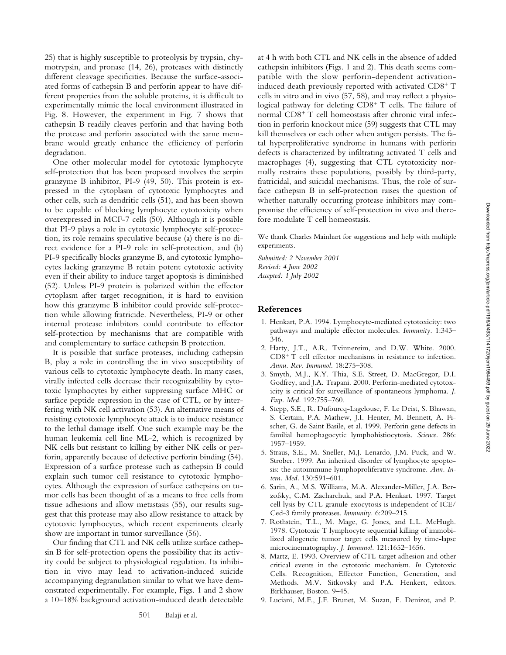25) that is highly susceptible to proteolysis by trypsin, chymotrypsin, and pronase (14, 26), proteases with distinctly different cleavage specificities. Because the surface-associated forms of cathepsin B and perforin appear to have different properties from the soluble proteins, it is difficult to experimentally mimic the local environment illustrated in Fig. 8. However, the experiment in Fig. 7 shows that cathepsin B readily cleaves perforin and that having both the protease and perforin associated with the same membrane would greatly enhance the efficiency of perforin degradation.

One other molecular model for cytotoxic lymphocyte self-protection that has been proposed involves the serpin granzyme B inhibitor, PI-9 (49, 50). This protein is expressed in the cytoplasm of cytotoxic lymphocytes and other cells, such as dendritic cells (51), and has been shown to be capable of blocking lymphocyte cytotoxicity when overexpressed in MCF-7 cells (50). Although it is possible that PI-9 plays a role in cytotoxic lymphocyte self-protection, its role remains speculative because (a) there is no direct evidence for a PI-9 role in self-protection, and (b) PI-9 specifically blocks granzyme B, and cytotoxic lymphocytes lacking granzyme B retain potent cytotoxic activity even if their ability to induce target apoptosis is diminished (52). Unless PI-9 protein is polarized within the effector cytoplasm after target recognition, it is hard to envision how this granzyme B inhibitor could provide self-protection while allowing fratricide. Nevertheless, PI-9 or other internal protease inhibitors could contribute to effector self-protection by mechanisms that are compatible with and complementary to surface cathepsin B protection.

It is possible that surface proteases, including cathepsin B, play a role in controlling the in vivo susceptibility of various cells to cytotoxic lymphocyte death. In many cases, virally infected cells decrease their recognizability by cytotoxic lymphocytes by either suppressing surface MHC or surface peptide expression in the case of CTL, or by interfering with NK cell activation (53). An alternative means of resisting cytotoxic lymphocyte attack is to induce resistance to the lethal damage itself. One such example may be the human leukemia cell line ML-2, which is recognized by NK cells but resistant to killing by either NK cells or perforin, apparently because of defective perforin binding (54). Expression of a surface protease such as cathepsin B could explain such tumor cell resistance to cytotoxic lymphocytes. Although the expression of surface cathepsins on tumor cells has been thought of as a means to free cells from tissue adhesions and allow metastasis (55), our results suggest that this protease may also allow resistance to attack by cytotoxic lymphocytes, which recent experiments clearly show are important in tumor surveillance (56).

Our finding that CTL and NK cells utilize surface cathepsin B for self-protection opens the possibility that its activity could be subject to physiological regulation. Its inhibition in vivo may lead to activation-induced suicide accompanying degranulation similar to what we have demonstrated experimentally. For example, Figs. 1 and 2 show a 10–18% background activation-induced death detectable at 4 h with both CTL and NK cells in the absence of added cathepsin inhibitors (Figs. 1 and 2). This death seems compatible with the slow perforin-dependent activationinduced death previously reported with activated CD8<sup>+</sup> T cells in vitro and in vivo (57, 58), and may reflect a physiological pathway for deleting CD8<sup>+</sup> T cells. The failure of normal CD8<sup>+</sup> T cell homeostasis after chronic viral infection in perforin knockout mice (59) suggests that CTL may kill themselves or each other when antigen persists. The fatal hyperproliferative syndrome in humans with perforin defects is characterized by infiltrating activated T cells and macrophages (4), suggesting that CTL cytotoxicity normally restrains these populations, possibly by third-party, fratricidal, and suicidal mechanisms. Thus, the role of surface cathepsin B in self-protection raises the question of whether naturally occurring protease inhibitors may compromise the efficiency of self-protection in vivo and therefore modulate T cell homeostasis.

We thank Charles Mainhart for suggestions and help with multiple experiments.

*Submitted: 2 November 2001 Revised: 4 June 2002 Accepted: 1 July 2002*

## **References**

- 1. Henkart, P.A. 1994. Lymphocyte-mediated cytotoxicity: two pathways and multiple effector molecules. *Immunity.* 1:343– 346.
- 2. Harty, J.T., A.R. Tvinnereim, and D.W. White. 2000. CD8- T cell effector mechanisms in resistance to infection. *Annu. Rev. Immunol.* 18:275–308.
- 3. Smyth, M.J., K.Y. Thia, S.E. Street, D. MacGregor, D.I. Godfrey, and J.A. Trapani. 2000. Perforin-mediated cytotoxicity is critical for surveillance of spontaneous lymphoma. *J. Exp. Med.* 192:755–760.
- 4. Stepp, S.E., R. Dufourcq-Lagelouse, F. Le Deist, S. Bhawan, S. Certain, P.A. Mathew, J.I. Henter, M. Bennett, A. Fischer, G. de Saint Basile, et al. 1999. Perforin gene defects in familial hemophagocytic lymphohistiocytosis. *Science.* 286: 1957–1959.
- 5. Straus, S.E., M. Sneller, M.J. Lenardo, J.M. Puck, and W. Strober. 1999. An inherited disorder of lymphocyte apoptosis: the autoimmune lymphoproliferative syndrome. *Ann. Intern. Med.* 130:591–601.
- 6. Sarin, A., M.S. Williams, M.A. Alexander-Miller, J.A. Berzofsky, C.M. Zacharchuk, and P.A. Henkart. 1997. Target cell lysis by CTL granule exocytosis is independent of ICE/ Ced-3 family proteases. *Immunity.* 6:209–215.
- 7. Rothstein, T.L., M. Mage, G. Jones, and L.L. McHugh. 1978. Cytotoxic T lymphocyte sequential killing of immobilized allogeneic tumor target cells measured by time-lapse microcinematography. *J. Immunol.* 121:1652–1656.
- 8. Martz, E. 1993. Overview of CTL-target adhesion and other critical events in the cytotoxic mechanism. *In* Cytotoxic Cells. Recognition, Effector Function, Generation, and Methods. M.V. Sitkovsky and P.A. Henkert, editors. Birkhauser, Boston. 9–45.
- 9. Luciani, M.F., J.F. Brunet, M. Suzan, F. Denizot, and P.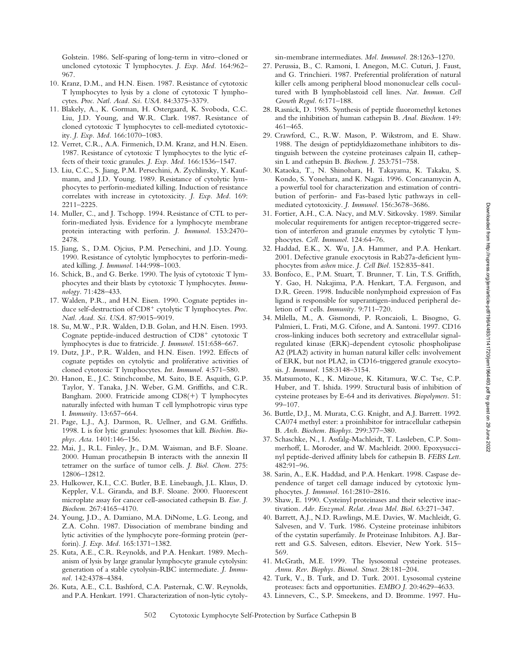Golstein. 1986. Self-sparing of long-term in vitro–cloned or uncloned cytotoxic T lymphocytes. *J. Exp. Med.* 164:962– 967.

- 10. Kranz, D.M., and H.N. Eisen. 1987. Resistance of cytotoxic T lymphocytes to lysis by a clone of cytotoxic T lymphocytes. *Proc. Natl. Acad. Sci. USA.* 84:3375–3379.
- 11. Blakely, A., K. Gorman, H. Ostergaard, K. Svoboda, C.C. Liu, J.D. Young, and W.R. Clark. 1987. Resistance of cloned cytotoxic T lymphocytes to cell-mediated cytotoxicity. *J. Exp. Med.* 166:1070–1083.
- 12. Verret, C.R., A.A. Firmenich, D.M. Kranz, and H.N. Eisen. 1987. Resistance of cytotoxic T lymphocytes to the lytic effects of their toxic granules. *J. Exp. Med.* 166:1536–1547.
- 13. Liu, C.C., S. Jiang, P.M. Persechini, A. Zychlinsky, Y. Kaufmann, and J.D. Young. 1989. Resistance of cytolytic lymphocytes to perforin-mediated killing. Induction of resistance correlates with increase in cytotoxicity. *J. Exp. Med.* 169: 2211–2225.
- 14. Muller, C., and J. Tschopp. 1994. Resistance of CTL to perforin-mediated lysis. Evidence for a lymphocyte membrane protein interacting with perforin. *J. Immunol.* 153:2470– 2478.
- 15. Jiang, S., D.M. Ojcius, P.M. Persechini, and J.D. Young. 1990. Resistance of cytolytic lymphocytes to perforin-mediated killing. *J. Immunol.* 144:998–1003.
- 16. Schick, B., and G. Berke. 1990. The lysis of cytotoxic T lymphocytes and their blasts by cytotoxic T lymphocytes. *Immunology.* 71:428–433.
- 17. Walden, P.R., and H.N. Eisen. 1990. Cognate peptides induce self-destruction of CD8<sup>+</sup> cytolytic T lymphocytes. Proc. *Natl. Acad. Sci. USA.* 87:9015–9019.
- 18. Su, M.W., P.R. Walden, D.B. Golan, and H.N. Eisen. 1993. Cognate peptide-induced destruction of CD8<sup>+</sup> cytotoxic T lymphocytes is due to fratricide. *J. Immunol.* 151:658–667.
- 19. Dutz, J.P., P.R. Walden, and H.N. Eisen. 1992. Effects of cognate peptides on cytolytic and proliferative activities of cloned cytotoxic T lymphocytes. *Int. Immunol.* 4:571–580.
- 20. Hanon, E., J.C. Stinchcombe, M. Saito, B.E. Asquith, G.P. Taylor, Y. Tanaka, J.N. Weber, G.M. Griffiths, and C.R. Bangham. 2000. Fratricide among CD8(+) T lymphocytes naturally infected with human T cell lymphotropic virus type I. *Immunity.* 13:657–664.
- 21. Page, L.J., A.J. Darmon, R. Uellner, and G.M. Griffiths. 1998. L is for lytic granules: lysosomes that kill. *Biochim. Biophys. Acta.* 1401:146–156.
- 22. Mai, J., R.L. Finley, Jr., D.M. Waisman, and B.F. Sloane. 2000. Human procathepsin B interacts with the annexin II tetramer on the surface of tumor cells. *J. Biol. Chem.* 275: 12806–12812.
- 23. Hulkower, K.I., C.C. Butler, B.E. Linebaugh, J.L. Klaus, D. Keppler, V.L. Giranda, and B.F. Sloane. 2000. Fluorescent microplate assay for cancer cell-associated cathepsin B. *Eur. J. Biochem.* 267:4165–4170.
- 24. Young, J.D., A. Damiano, M.A. DiNome, L.G. Leong, and Z.A. Cohn. 1987. Dissociation of membrane binding and lytic activities of the lymphocyte pore-forming protein (perforin). *J. Exp. Med.* 165:1371–1382.
- 25. Kuta, A.E., C.R. Reynolds, and P.A. Henkart. 1989. Mechanism of lysis by large granular lymphocyte granule cytolysin: generation of a stable cytolysin-RBC intermediate. *J. Immunol.* 142:4378–4384.
- 26. Kuta, A.E., C.L. Bashford, C.A. Pasternak, C.W. Reynolds, and P.A. Henkart. 1991. Characterization of non-lytic cytoly-

sin-membrane intermediates. *Mol. Immunol.* 28:1263–1270.

- 27. Perussia, B., C. Ramoni, I. Anegon, M.C. Cuturi, J. Faust, and G. Trinchieri. 1987. Preferential proliferation of natural killer cells among peripheral blood mononuclear cells cocultured with B lymphoblastoid cell lines. *Nat. Immun. Cell Growth Regul.* 6:171–188.
- 28. Rasnick, D. 1985. Synthesis of peptide fluoromethyl ketones and the inhibition of human cathepsin B. *Anal. Biochem.* 149: 461–465.
- 29. Crawford, C., R.W. Mason, P. Wikstrom, and E. Shaw. 1988. The design of peptidyldiazomethane inhibitors to distinguish between the cysteine proteinases calpain II, cathepsin L and cathepsin B. *Biochem. J.* 253:751–758.
- 30. Kataoka, T., N. Shinohara, H. Takayama, K. Takaku, S. Kondo, S. Yonehara, and K. Nagai. 1996. Concanamycin A, a powerful tool for characterization and estimation of contribution of perforin- and Fas-based lytic pathways in cellmediated cytotoxicity. *J. Immunol.* 156:3678–3686.
- 31. Fortier, A.H., C.A. Nacy, and M.V. Sitkovsky. 1989. Similar molecular requirements for antigen receptor-triggered secretion of interferon and granule enzymes by cytolytic T lymphocytes. *Cell. Immunol.* 124:64–76.
- 32. Haddad, E.K., X. Wu, J.A. Hammer, and P.A. Henkart. 2001. Defective granule exocytosis in Rab27a-deficient lymphocytes from *ashen* mice. *J. Cell Biol.* 152:835–841.
- 33. Bonfoco, E., P.M. Stuart, T. Brunner, T. Lin, T.S. Griffith, Y. Gao, H. Nakajima, P.A. Henkart, T.A. Ferguson, and D.R. Green. 1998. Inducible nonlymphoid expression of Fas ligand is responsible for superantigen-induced peripheral deletion of T cells. *Immunity.* 9:711–720.
- 34. Milella, M., A. Gismondi, P. Roncaioli, L. Bisogno, G. Palmieri, L. Frati, M.G. Cifone, and A. Santoni. 1997. CD16 cross-linking induces both secretory and extracellular signalregulated kinase (ERK)-dependent cytosolic phospholipase A2 (PLA2) activity in human natural killer cells: involvement of ERK, but not PLA2, in CD16-triggered granule exocytosis. *J. Immunol.* 158:3148–3154.
- 35. Matsumoto, K., K. Mizoue, K. Kitamura, W.C. Tse, C.P. Huber, and T. Ishida. 1999. Structural basis of inhibition of cysteine proteases by E-64 and its derivatives. *Biopolymers.* 51: 99–107.
- 36. Buttle, D.J., M. Murata, C.G. Knight, and A.J. Barrett. 1992. CA074 methyl ester: a proinhibitor for intracellular cathepsin B. *Arch. Biochem. Biophys.* 299:377–380.
- 37. Schaschke, N., I. Assfalg-Machleidt, T. Lassleben, C.P. Sommerhoff, L. Moroder, and W. Machleidt. 2000. Epoxysuccinyl peptide-derived affinity labels for cathepsin B. *FEBS Lett.* 482:91–96.
- 38. Sarin, A., E.K. Haddad, and P.A. Henkart. 1998. Caspase dependence of target cell damage induced by cytotoxic lymphocytes. *J. Immunol.* 161:2810–2816.
- 39. Shaw, E. 1990. Cysteinyl proteinases and their selective inactivation. *Adv. Enzymol. Relat. Areas Mol. Biol.* 63:271–347.
- 40. Barrett, A.J., N.D. Rawlings, M.E. Davies, W. Machleidt, G. Salvesen, and V. Turk. 1986. Cysteine proteinase inhibitors of the cystatin superfamily. *In* Proteinase Inhibitors. A.J. Barrett and G.S. Salvesen, editors. Elsevier, New York. 515– 569.
- 41. McGrath, M.E. 1999. The lysosomal cysteine proteases. *Annu. Rev. Biophys. Biomol. Struct.* 28:181–204.
- 42. Turk, V., B. Turk, and D. Turk. 2001. Lysosomal cysteine proteases: facts and opportunities. *EMBO J.* 20:4629–4633.
- 43. Linnevers, C., S.P. Smeekens, and D. Bromme. 1997. Hu-